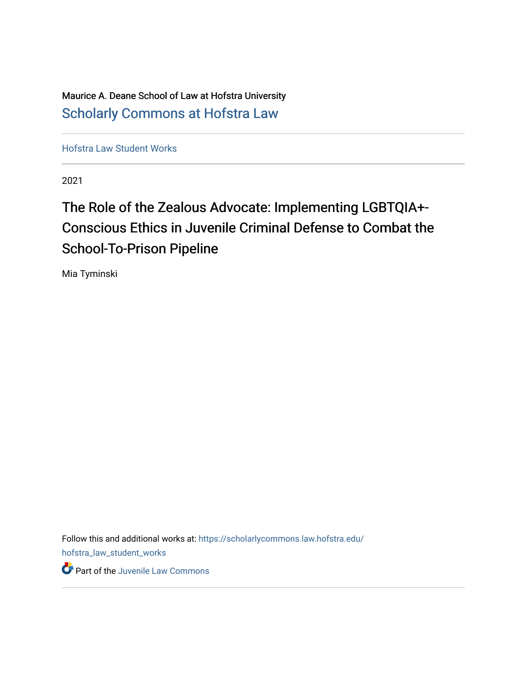Maurice A. Deane School of Law at Hofstra University [Scholarly Commons at Hofstra Law](https://scholarlycommons.law.hofstra.edu/) 

[Hofstra Law Student Works](https://scholarlycommons.law.hofstra.edu/hofstra_law_student_works) 

2021

# The Role of the Zealous Advocate: Implementing LGBTQIA+-Conscious Ethics in Juvenile Criminal Defense to Combat the School-To-Prison Pipeline

Mia Tyminski

Follow this and additional works at: [https://scholarlycommons.law.hofstra.edu/](https://scholarlycommons.law.hofstra.edu/hofstra_law_student_works?utm_source=scholarlycommons.law.hofstra.edu%2Fhofstra_law_student_works%2F20&utm_medium=PDF&utm_campaign=PDFCoverPages) [hofstra\\_law\\_student\\_works](https://scholarlycommons.law.hofstra.edu/hofstra_law_student_works?utm_source=scholarlycommons.law.hofstra.edu%2Fhofstra_law_student_works%2F20&utm_medium=PDF&utm_campaign=PDFCoverPages) **P** Part of the [Juvenile Law Commons](http://network.bepress.com/hgg/discipline/851?utm_source=scholarlycommons.law.hofstra.edu%2Fhofstra_law_student_works%2F20&utm_medium=PDF&utm_campaign=PDFCoverPages)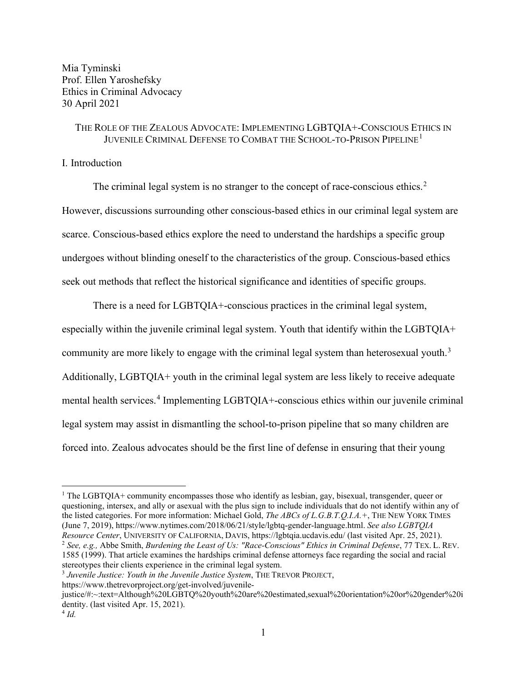Mia Tyminski Prof. Ellen Yaroshefsky Ethics in Criminal Advocacy 30 April 2021

# THE ROLE OF THE ZEALOUS ADVOCATE: IMPLEMENTING LGBTQIA+-CONSCIOUS ETHICS IN JUVENILE CRIMINAL DEFENSE TO COMBAT THE SCHOOL-TO-PRISON PIPELINE<sup>[1](#page-1-0)</sup>

I. Introduction

The criminal legal system is no stranger to the concept of race-conscious ethics.<sup>[2](#page-1-1)</sup> However, discussions surrounding other conscious-based ethics in our criminal legal system are scarce. Conscious-based ethics explore the need to understand the hardships a specific group undergoes without blinding oneself to the characteristics of the group. Conscious-based ethics seek out methods that reflect the historical significance and identities of specific groups.

There is a need for LGBTQIA+-conscious practices in the criminal legal system, especially within the juvenile criminal legal system. Youth that identify within the LGBTQIA+ community are more likely to engage with the criminal legal system than heterosexual youth.<sup>[3](#page-1-2)</sup> Additionally, LGBTQIA+ youth in the criminal legal system are less likely to receive adequate mental health services.<sup>[4](#page-1-3)</sup> Implementing LGBTQIA+-conscious ethics within our juvenile criminal legal system may assist in dismantling the school-to-prison pipeline that so many children are forced into. Zealous advocates should be the first line of defense in ensuring that their young

https://www.thetrevorproject.org/get-involved/juvenile-

<span id="page-1-0"></span><sup>&</sup>lt;sup>1</sup> The LGBTQIA+ community encompasses those who identify as lesbian, gay, bisexual, transgender, queer or questioning, intersex, and ally or asexual with the plus sign to include individuals that do not identify within any of the listed categories. For more information: Michael Gold, *The ABCs of L.G.B.T.Q.I.A.+*, THE NEW YORK TIMES (June 7, 2019), https://www.nytimes.com/2018/06/21/style/lgbtq-gender-language.html. *See also LGBTQIA*  <sup>2</sup> See, e.g., Abbe Smith, Burdening the Least of Us: "Race-Conscious" Ethics in Criminal Defense, 77 TEX. L. REV. 1585 (1999). That article examines the hardships criminal defense attorneys face regarding the social and racial stereotypes their clients experience in the criminal legal system.

<span id="page-1-2"></span><span id="page-1-1"></span><sup>3</sup> *Juvenile Justice: Youth in the Juvenile Justice System*, THE TREVOR PROJECT,

<span id="page-1-3"></span>justice/#:~:text=Although%20LGBTQ%20youth%20are%20estimated,sexual%20orientation%20or%20gender%20i dentity. (last visited Apr. 15, 2021).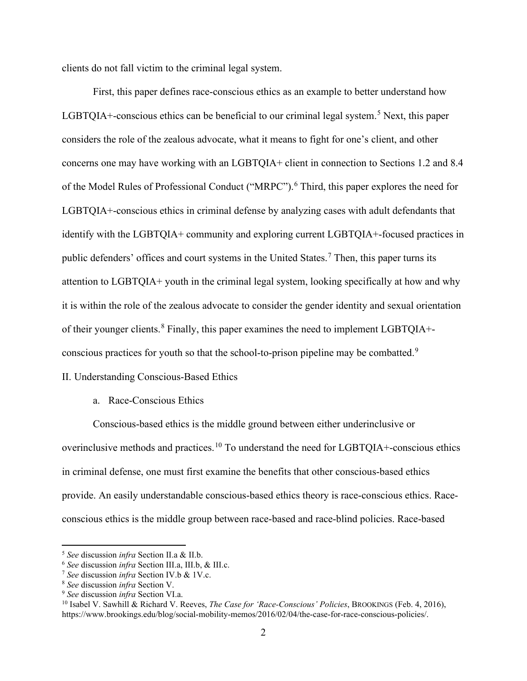clients do not fall victim to the criminal legal system.

First, this paper defines race-conscious ethics as an example to better understand how LGBTQIA+-conscious ethics can be beneficial to our criminal legal system.<sup>[5](#page-2-0)</sup> Next, this paper considers the role of the zealous advocate, what it means to fight for one's client, and other concerns one may have working with an LGBTQIA+ client in connection to Sections 1.2 and 8.4 of the Model Rules of Professional Conduct ("MRPC").<sup>[6](#page-2-1)</sup> Third, this paper explores the need for LGBTQIA+-conscious ethics in criminal defense by analyzing cases with adult defendants that identify with the LGBTQIA+ community and exploring current LGBTQIA+-focused practices in public defenders' offices and court systems in the United States.<sup>[7](#page-2-2)</sup> Then, this paper turns its attention to LGBTQIA+ youth in the criminal legal system, looking specifically at how and why it is within the role of the zealous advocate to consider the gender identity and sexual orientation of their younger clients. $8$  Finally, this paper examines the need to implement LGBTQIA+conscious practices for youth so that the school-to-prison pipeline may be combatted. $9$ 

### II. Understanding Conscious-Based Ethics

# a. Race-Conscious Ethics

Conscious-based ethics is the middle ground between either underinclusive or overinclusive methods and practices.<sup>[10](#page-2-5)</sup> To understand the need for LGBTQIA+-conscious ethics in criminal defense, one must first examine the benefits that other conscious-based ethics provide. An easily understandable conscious-based ethics theory is race-conscious ethics. Raceconscious ethics is the middle group between race-based and race-blind policies. Race-based

<span id="page-2-1"></span>

<span id="page-2-2"></span>

<span id="page-2-3"></span>

<span id="page-2-5"></span><span id="page-2-4"></span>

<span id="page-2-0"></span><sup>&</sup>lt;sup>5</sup> See discussion *infra* Section II.a & II.b.<br>
<sup>6</sup> See discussion *infra* Section III.a, III.b, & III.c.<br>
<sup>7</sup> See discussion *infra* Section IV.b & 1V.c.<br>
<sup>8</sup> See discussion *infra* Section VI.a.<br>
<sup>9</sup> See discussion *in* https://www.brookings.edu/blog/social-mobility-memos/2016/02/04/the-case-for-race-conscious-policies/.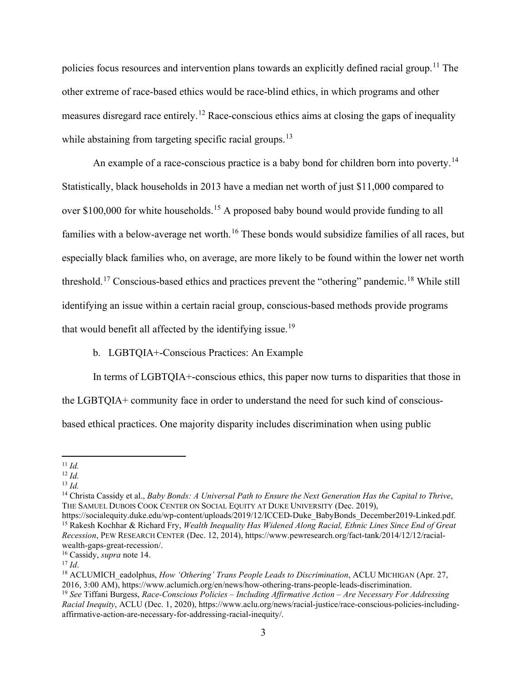policies focus resources and intervention plans towards an explicitly defined racial group.<sup>[11](#page-3-0)</sup> The other extreme of race-based ethics would be race-blind ethics, in which programs and other measures disregard race entirely.<sup>[12](#page-3-1)</sup> Race-conscious ethics aims at closing the gaps of inequality while abstaining from targeting specific racial groups.<sup>[13](#page-3-2)</sup>

An example of a race-conscious practice is a baby bond for children born into poverty.<sup>[14](#page-3-3)</sup> Statistically, black households in 2013 have a median net worth of just \$11,000 compared to over \$100,000 for white households.<sup>[15](#page-3-4)</sup> A proposed baby bound would provide funding to all families with a below-average net worth.<sup>[16](#page-3-5)</sup> These bonds would subsidize families of all races, but especially black families who, on average, are more likely to be found within the lower net worth threshold.<sup>[17](#page-3-6)</sup> Conscious-based ethics and practices prevent the "othering" pandemic.<sup>[18](#page-3-7)</sup> While still identifying an issue within a certain racial group, conscious-based methods provide programs that would benefit all affected by the identifying issue.<sup>[19](#page-3-8)</sup>

b. LGBTQIA+-Conscious Practices: An Example

In terms of LGBTQIA+-conscious ethics, this paper now turns to disparities that those in

the LGBTQIA+ community face in order to understand the need for such kind of conscious-

based ethical practices. One majority disparity includes discrimination when using public

<span id="page-3-0"></span> $11$  *Id.* 

<span id="page-3-1"></span><sup>12</sup> *Id.*

<span id="page-3-2"></span> $13 \, Id.$ 

<span id="page-3-3"></span><sup>14</sup> Christa Cassidy et al., *Baby Bonds: A Universal Path to Ensure the Next Generation Has the Capital to Thrive*, THE SAMUEL DUBOIS COOK CENTER ON SOCIAL EQUITY AT DUKE UNIVERSITY (Dec. 2019),

<span id="page-3-4"></span>https://socialequity.duke.edu/wp-content/uploads/2019/12/ICCED-Duke\_BabyBonds\_December2019-Linked.pdf. <sup>15</sup> Rakesh Kochhar & Richard Fry, *Wealth Inequality Has Widened Along Racial, Ethnic Lines Since End of Great Recession*, PEW RESEARCH CENTER (Dec. 12, 2014), https://www.pewresearch.org/fact-tank/2014/12/12/racialwealth-gaps-great-recession/. 16 Cassidy, *supra* note 14.

<span id="page-3-6"></span><span id="page-3-5"></span>

<span id="page-3-7"></span><sup>&</sup>lt;sup>18</sup> ACLUMICH\_eadolphus, *How 'Othering' Trans People Leads to Discrimination*, ACLU MICHIGAN (Apr. 27, 2016, 3:00 AM), https://www.aclumich.org/en/news/how-othering-trans-people-leads-discrimination.

<span id="page-3-8"></span><sup>19</sup> *See* Tiffani Burgess, *Race-Conscious Policies – Including Affirmative Action – Are Necessary For Addressing Racial Inequity*, ACLU (Dec. 1, 2020), https://www.aclu.org/news/racial-justice/race-conscious-policies-includingaffirmative-action-are-necessary-for-addressing-racial-inequity/.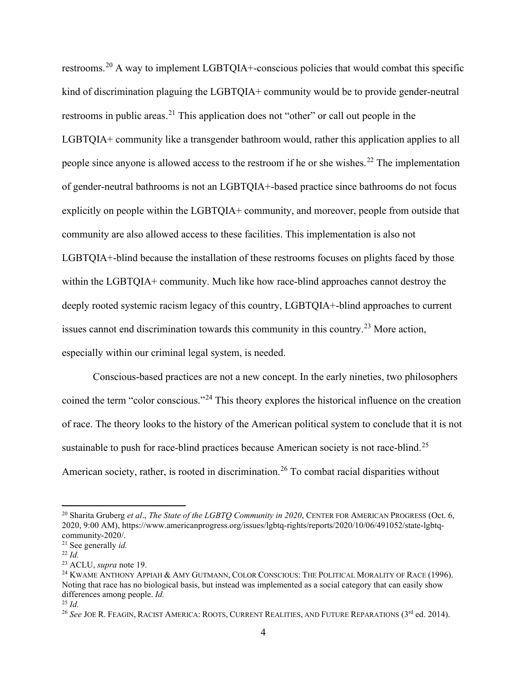restrooms.[20](#page-4-0) A way to implement LGBTQIA+-conscious policies that would combat this specific kind of discrimination plaguing the LGBTQIA+ community would be to provide gender-neutral restrooms in public areas.<sup>[21](#page-4-1)</sup> This application does not "other" or call out people in the LGBTQIA+ community like a transgender bathroom would, rather this application applies to all people since anyone is allowed access to the restroom if he or she wishes.<sup>[22](#page-4-2)</sup> The implementation of gender-neutral bathrooms is not an LGBTQIA+-based practice since bathrooms do not focus explicitly on people within the LGBTQIA+ community, and moreover, people from outside that community are also allowed access to these facilities. This implementation is also not LGBTQIA+-blind because the installation of these restrooms focuses on plights faced by those within the LGBTQIA+ community. Much like how race-blind approaches cannot destroy the deeply rooted systemic racism legacy of this country, LGBTQIA+-blind approaches to current issues cannot end discrimination towards this community in this country.<sup>[23](#page-4-3)</sup> More action, especially within our criminal legal system, is needed.

Conscious-based practices are not a new concept. In the early nineties, two philosophers coined the term "color conscious."[24](#page-4-4) This theory explores the historical influence on the creation of race. The theory looks to the history of the American political system to conclude that it is not sustainable to push for race-blind practices because American society is not race-blind.<sup>[25](#page-4-5)</sup> American society, rather, is rooted in discrimination.<sup>[26](#page-4-6)</sup> To combat racial disparities without

<span id="page-4-0"></span><sup>&</sup>lt;sup>20</sup> Sharita Gruberg *et al., The State of the LGBTQ Community in 2020*, CENTER FOR AMERICAN PROGRESS (Oct. 6, 2020, 9:00 AM), https://www.americanprogress.org/issues/lgbtq-rights/reports/2020/10/06/491052/state-lgbtqcommunity-2020/.

<span id="page-4-1"></span><sup>21</sup> See generally *id.* 

<span id="page-4-2"></span> $^{22}$  *Id.* 

<span id="page-4-3"></span><sup>23</sup> ACLU, *supra* note 19.

<span id="page-4-4"></span><sup>&</sup>lt;sup>24</sup> KWAME ANTHONY APPIAH & AMY GUTMANN, COLOR CONSCIOUS: THE POLITICAL MORALITY OF RACE (1996). Noting that race has no biological basis, but instead was implemented as a social category that can easily show differences among people. *Id.* 

<span id="page-4-5"></span> $^{25}$  *Id.* 

<span id="page-4-6"></span><sup>&</sup>lt;sup>26</sup> See JOE R. FEAGIN, RACIST AMERICA: ROOTS, CURRENT REALITIES, AND FUTURE REPARATIONS (3<sup>rd</sup> ed. 2014).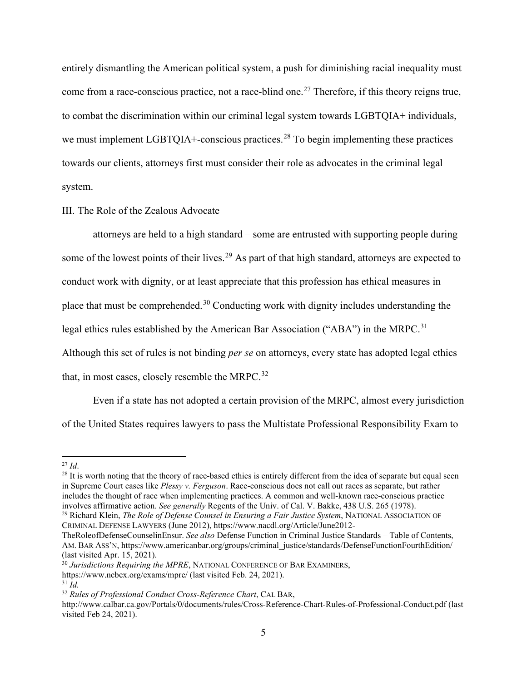entirely dismantling the American political system, a push for diminishing racial inequality must come from a race-conscious practice, not a race-blind one.<sup>[27](#page-5-0)</sup> Therefore, if this theory reigns true, to combat the discrimination within our criminal legal system towards LGBTQIA+ individuals, we must implement LGBTQIA+-conscious practices.<sup>[28](#page-5-1)</sup> To begin implementing these practices towards our clients, attorneys first must consider their role as advocates in the criminal legal system.

III. The Role of the Zealous Advocate

attorneys are held to a high standard – some are entrusted with supporting people during some of the lowest points of their lives.<sup>[29](#page-5-2)</sup> As part of that high standard, attorneys are expected to conduct work with dignity, or at least appreciate that this profession has ethical measures in place that must be comprehended.<sup>[30](#page-5-3)</sup> Conducting work with dignity includes understanding the legal ethics rules established by the American Bar Association ("ABA") in the MRPC.<sup>[31](#page-5-4)</sup> Although this set of rules is not binding *per se* on attorneys, every state has adopted legal ethics that, in most cases, closely resemble the MRPC. $32$ 

Even if a state has not adopted a certain provision of the MRPC, almost every jurisdiction of the United States requires lawyers to pass the Multistate Professional Responsibility Exam to

<span id="page-5-1"></span><span id="page-5-0"></span><sup>&</sup>lt;sup>27</sup> *Id*.<br><sup>28</sup> It is worth noting that the theory of race-based ethics is entirely different from the idea of separate but equal seen in Supreme Court cases like *Plessy v. Ferguson*. Race-conscious does not call out races as separate, but rather includes the thought of race when implementing practices. A common and well-known race-conscious practice<br>involves affirmative action. See generally Regents of the Univ. of Cal. V. Bakke, 438 U.S. 265 (1978).

<span id="page-5-2"></span><sup>&</sup>lt;sup>29</sup> Richard Klein, *The Role of Defense Counsel in Ensuring a Fair Justice System*, NATIONAL ASSOCIATION OF CRIMINAL DEFENSE LAWYERS (June 2012), https://www.nacdl.org/Article/June2012-

TheRoleofDefenseCounselinEnsur. *See also* Defense Function in Criminal Justice Standards – Table of Contents, AM. BAR ASS'N, https://www.americanbar.org/groups/criminal\_justice/standards/DefenseFunctionFourthEdition/ (last visited Apr. 15, 2021).

<span id="page-5-3"></span><sup>30</sup> *Jurisdictions Requiring the MPRE*, NATIONAL CONFERENCE OF BAR EXAMINERS,

https://www.ncbex.org/exams/mpre/ (last visited Feb. 24, 2021).

<span id="page-5-4"></span> $31$  *Id.* 

<span id="page-5-5"></span><sup>32</sup> *Rules of Professional Conduct Cross-Reference Chart*, CAL BAR,

http://www.calbar.ca.gov/Portals/0/documents/rules/Cross-Reference-Chart-Rules-of-Professional-Conduct.pdf (last visited Feb 24, 2021).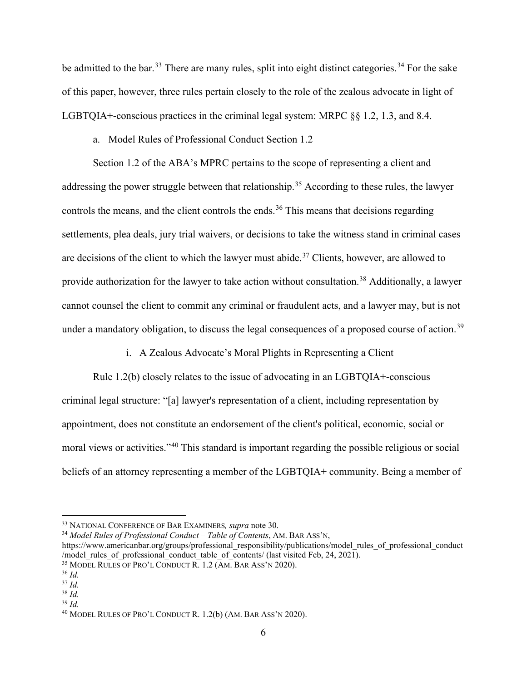be admitted to the bar.<sup>[33](#page-6-0)</sup> There are many rules, split into eight distinct categories.<sup>[34](#page-6-1)</sup> For the sake of this paper, however, three rules pertain closely to the role of the zealous advocate in light of LGBTQIA+-conscious practices in the criminal legal system: MRPC §§ 1.2, 1.3, and 8.4.

a. Model Rules of Professional Conduct Section 1.2

Section 1.2 of the ABA's MPRC pertains to the scope of representing a client and addressing the power struggle between that relationship.<sup>[35](#page-6-2)</sup> According to these rules, the lawyer controls the means, and the client controls the ends.<sup>[36](#page-6-3)</sup> This means that decisions regarding settlements, plea deals, jury trial waivers, or decisions to take the witness stand in criminal cases are decisions of the client to which the lawyer must abide.<sup>[37](#page-6-4)</sup> Clients, however, are allowed to provide authorization for the lawyer to take action without consultation.<sup>[38](#page-6-5)</sup> Additionally, a lawyer cannot counsel the client to commit any criminal or fraudulent acts, and a lawyer may, but is not under a mandatory obligation, to discuss the legal consequences of a proposed course of action.<sup>[39](#page-6-6)</sup>

i. A Zealous Advocate's Moral Plights in Representing a Client

Rule 1.2(b) closely relates to the issue of advocating in an LGBTQIA+-conscious criminal legal structure: "[a] lawyer's representation of a client, including representation by appointment, does not constitute an endorsement of the client's political, economic, social or moral views or activities."<sup>[40](#page-6-7)</sup> This standard is important regarding the possible religious or social beliefs of an attorney representing a member of the LGBTQIA+ community. Being a member of

<span id="page-6-1"></span><sup>34</sup> *Model Rules of Professional Conduct – Table of Contents*, AM. BAR ASS'N,

<span id="page-6-0"></span><sup>33</sup> NATIONAL CONFERENCE OF BAR EXAMINERS*, supra* note 30.

https://www.americanbar.org/groups/professional\_responsibility/publications/model\_rules\_of\_professional\_conduct /model\_rules\_of\_professional\_conduct\_table\_of\_contents/ (last visited Feb, 24, 2021).<br><sup>35</sup> MODEL RULES OF PRO'L CONDUCT R. 1.2 (AM. BAR ASS'N 2020).<br><sup>36</sup> *Id.* 

<span id="page-6-2"></span>

<span id="page-6-3"></span>

<span id="page-6-5"></span><span id="page-6-4"></span><sup>37</sup> *Id.* <sup>38</sup> *Id.* 

<span id="page-6-6"></span><sup>39</sup> *Id.* 

<span id="page-6-7"></span><sup>40</sup> MODEL RULES OF PRO'L CONDUCT R. 1.2(b) (AM. BAR ASS'N 2020).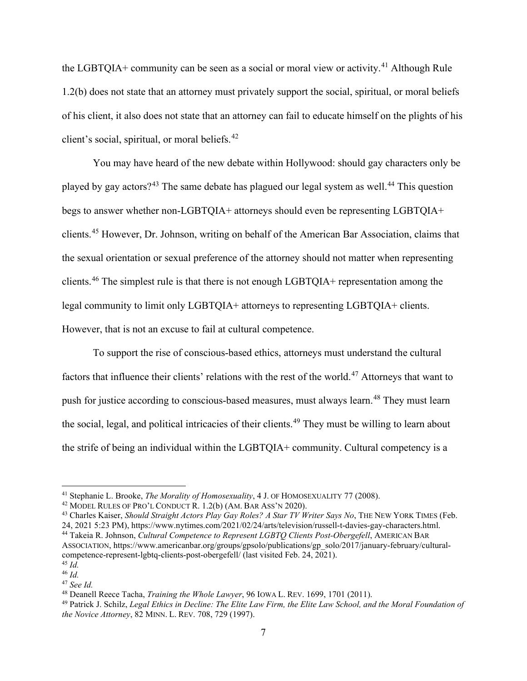the LGBTQIA+ community can be seen as a social or moral view or activity.<sup>[41](#page-7-0)</sup> Although Rule 1.2(b) does not state that an attorney must privately support the social, spiritual, or moral beliefs of his client, it also does not state that an attorney can fail to educate himself on the plights of his client's social, spiritual, or moral beliefs.[42](#page-7-1)

You may have heard of the new debate within Hollywood: should gay characters only be played by gay actors?<sup>[43](#page-7-2)</sup> The same debate has plagued our legal system as well.<sup>[44](#page-7-3)</sup> This question begs to answer whether non-LGBTQIA+ attorneys should even be representing LGBTQIA+ clients.[45](#page-7-4) However, Dr. Johnson, writing on behalf of the American Bar Association, claims that the sexual orientation or sexual preference of the attorney should not matter when representing clients.[46](#page-7-5) The simplest rule is that there is not enough LGBTQIA+ representation among the legal community to limit only LGBTQIA+ attorneys to representing LGBTQIA+ clients. However, that is not an excuse to fail at cultural competence.

To support the rise of conscious-based ethics, attorneys must understand the cultural factors that influence their clients' relations with the rest of the world.<sup>[47](#page-7-6)</sup> Attorneys that want to push for justice according to conscious-based measures, must always learn.<sup>[48](#page-7-7)</sup> They must learn the social, legal, and political intricacies of their clients.<sup>[49](#page-7-8)</sup> They must be willing to learn about the strife of being an individual within the LGBTQIA+ community. Cultural competency is a

<span id="page-7-0"></span><sup>&</sup>lt;sup>41</sup> Stephanie L. Brooke, *The Morality of Homosexuality*, 4 J. OF HOMOSEXUALITY 77 (2008).<br><sup>42</sup> MODEL RULES OF PRO'L CONDUCT R. 1.2(b) (AM. BAR ASS'N 2020).

<span id="page-7-2"></span><span id="page-7-1"></span><sup>43</sup> Charles Kaiser, *Should Straight Actors Play Gay Roles? A Star TV Writer Says No*, THE NEW YORK TIMES (Feb. 24, 2021 5:23 PM), https://www.nytimes.com/2021/02/24/arts/television/russell-t-davies-gay-characters.html.

<span id="page-7-3"></span><sup>44</sup> Takeia R. Johnson, *Cultural Competence to Represent LGBTQ Clients Post-Obergefell*, AMERICAN BAR

ASSOCIATION, https://www.americanbar.org/groups/gpsolo/publications/gp\_solo/2017/january-february/culturalcompetence-represent-lgbtq-clients-post-obergefell/ (last visited Feb. 24, 2021). 45 *Id.* 

<span id="page-7-5"></span><span id="page-7-4"></span><sup>46</sup> *Id.* 

<span id="page-7-7"></span><span id="page-7-6"></span><sup>&</sup>lt;sup>47</sup> *See Id.*<br><sup>48</sup> Deanell Reece Tacha, *Training the Whole Lawyer*, 96 IOWA L. REV. 1699, 1701 (2011).

<span id="page-7-8"></span><sup>&</sup>lt;sup>49</sup> Patrick J. Schilz, *Legal Ethics in Decline: The Elite Law Firm, the Elite Law School, and the Moral Foundation of the Novice Attorney*, 82 MINN. L. REV. 708, 729 (1997).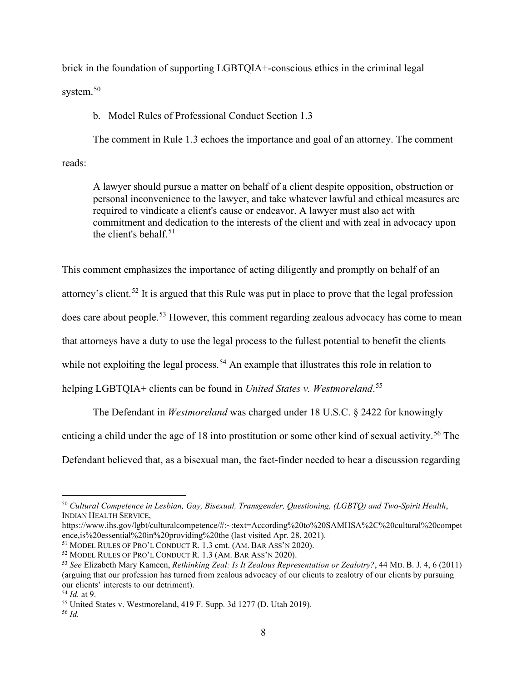brick in the foundation of supporting LGBTQIA+-conscious ethics in the criminal legal system.<sup>[50](#page-8-0)</sup>

b. Model Rules of Professional Conduct Section 1.3

The comment in Rule 1.3 echoes the importance and goal of an attorney. The comment reads:

A lawyer should pursue a matter on behalf of a client despite opposition, obstruction or personal inconvenience to the lawyer, and take whatever lawful and ethical measures are required to vindicate a client's cause or endeavor. A lawyer must also act with commitment and dedication to the interests of the client and with zeal in advocacy upon the client's behalf.<sup>[51](#page-8-1)</sup>

This comment emphasizes the importance of acting diligently and promptly on behalf of an

attorney's client.<sup>[52](#page-8-2)</sup> It is argued that this Rule was put in place to prove that the legal profession

does care about people.[53](#page-8-3) However, this comment regarding zealous advocacy has come to mean

that attorneys have a duty to use the legal process to the fullest potential to benefit the clients

while not exploiting the legal process.<sup>[54](#page-8-4)</sup> An example that illustrates this role in relation to

helping LGBTQIA+ clients can be found in *United States v. Westmoreland*. [55](#page-8-5)

The Defendant in *Westmoreland* was charged under 18 U.S.C. § 2422 for knowingly

enticing a child under the age of 18 into prostitution or some other kind of sexual activity.<sup>[56](#page-8-6)</sup> The

Defendant believed that, as a bisexual man, the fact-finder needed to hear a discussion regarding

<span id="page-8-0"></span><sup>50</sup> *Cultural Competence in Lesbian, Gay, Bisexual, Transgender, Questioning, (LGBTQ) and Two-Spirit Health*, INDIAN HEALTH SERVICE,

https://www.ihs.gov/lgbt/culturalcompetence/#:~:text=According%20to%20SAMHSA%2C%20cultural%20competence,is%20essential%20in%20providing%20the (last visited Apr. 28, 2021).

<span id="page-8-1"></span><sup>&</sup>lt;sup>51</sup> MODEL RULES OF PRO'L CONDUCT R. 1.3 cmt.  $(AM, BAR Ass'N 2020)$ .

<span id="page-8-2"></span><sup>52</sup> MODEL RULES OF PRO'L CONDUCT R. 1.3 (AM. BAR ASS'N 2020).

<span id="page-8-3"></span><sup>53</sup> *See* Elizabeth Mary Kameen, *Rethinking Zeal: Is It Zealous Representation or Zealotry?*, 44 MD. B. J. 4, 6 (2011) (arguing that our profession has turned from zealous advocacy of our clients to zealotry of our clients by pursuing our clients' interests to our detriment).<br> $^{54}$  *Id.* at 9.

<span id="page-8-4"></span>

<span id="page-8-5"></span><sup>&</sup>lt;sup>55</sup> United States v. Westmoreland, 419 F. Supp. 3d 1277 (D. Utah 2019).

<span id="page-8-6"></span><sup>56</sup> *Id.*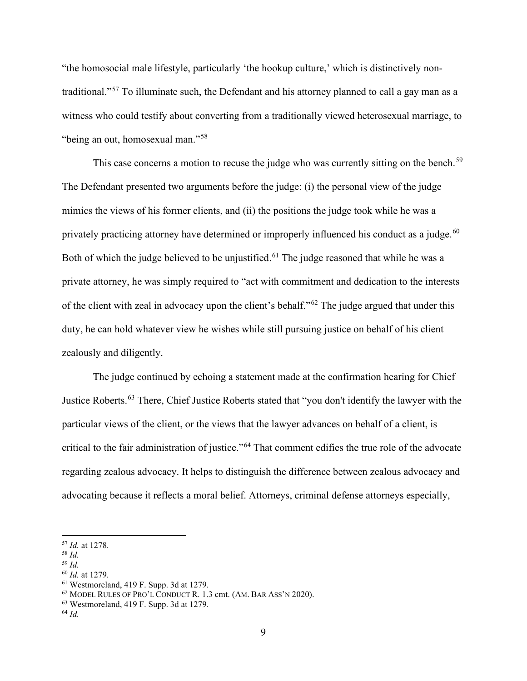"the homosocial male lifestyle, particularly 'the hookup culture,' which is distinctively nontraditional."[57](#page-9-0) To illuminate such, the Defendant and his attorney planned to call a gay man as a witness who could testify about converting from a traditionally viewed heterosexual marriage, to "being an out, homosexual man."[58](#page-9-1)

This case concerns a motion to recuse the judge who was currently sitting on the bench.<sup>[59](#page-9-2)</sup> The Defendant presented two arguments before the judge: (i) the personal view of the judge mimics the views of his former clients, and (ii) the positions the judge took while he was a privately practicing attorney have determined or improperly influenced his conduct as a judge.<sup>[60](#page-9-3)</sup> Both of which the judge believed to be unjustified.<sup>[61](#page-9-4)</sup> The judge reasoned that while he was a private attorney, he was simply required to "act with commitment and dedication to the interests of the client with zeal in advocacy upon the client's behalf."[62](#page-9-5) The judge argued that under this duty, he can hold whatever view he wishes while still pursuing justice on behalf of his client zealously and diligently.

The judge continued by echoing a statement made at the confirmation hearing for Chief Justice Roberts.[63](#page-9-6) There, Chief Justice Roberts stated that "you don't identify the lawyer with the particular views of the client, or the views that the lawyer advances on behalf of a client, is critical to the fair administration of justice."[64](#page-9-7) That comment edifies the true role of the advocate regarding zealous advocacy. It helps to distinguish the difference between zealous advocacy and advocating because it reflects a moral belief. Attorneys, criminal defense attorneys especially,

<span id="page-9-3"></span><span id="page-9-2"></span>

<span id="page-9-1"></span><span id="page-9-0"></span><sup>57</sup> *Id.* at 1278. 58 *Id.* 

<sup>59</sup> *Id.* 

<span id="page-9-5"></span><span id="page-9-4"></span><sup>&</sup>lt;sup>61</sup> Westmoreland, 419 F. Supp. 3d at 1279.<br><sup>62</sup> MODEL RULES OF PRO'L CONDUCT R. 1.3 cmt. (AM. BAR ASS'N 2020).

<span id="page-9-6"></span> $63$  Westmoreland, 419 F. Supp. 3d at 1279.

<span id="page-9-7"></span><sup>64</sup> *Id.*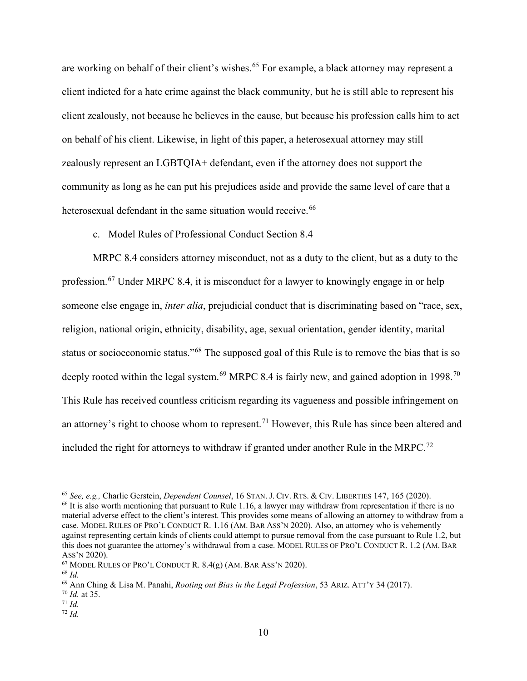are working on behalf of their client's wishes.<sup>[65](#page-10-0)</sup> For example, a black attorney may represent a client indicted for a hate crime against the black community, but he is still able to represent his client zealously, not because he believes in the cause, but because his profession calls him to act on behalf of his client. Likewise, in light of this paper, a heterosexual attorney may still zealously represent an LGBTQIA+ defendant, even if the attorney does not support the community as long as he can put his prejudices aside and provide the same level of care that a heterosexual defendant in the same situation would receive.<sup>[66](#page-10-1)</sup>

## c. Model Rules of Professional Conduct Section 8.4

MRPC 8.4 considers attorney misconduct, not as a duty to the client, but as a duty to the profession.<sup>[67](#page-10-2)</sup> Under MRPC 8.4, it is misconduct for a lawyer to knowingly engage in or help someone else engage in, *inter alia*, prejudicial conduct that is discriminating based on "race, sex, religion, national origin, ethnicity, disability, age, sexual orientation, gender identity, marital status or socioeconomic status."[68](#page-10-3) The supposed goal of this Rule is to remove the bias that is so deeply rooted within the legal system.<sup>[69](#page-10-4)</sup> MRPC 8.4 is fairly new, and gained adoption in 1998.<sup>[70](#page-10-5)</sup> This Rule has received countless criticism regarding its vagueness and possible infringement on an attorney's right to choose whom to represent.<sup>[71](#page-10-6)</sup> However, this Rule has since been altered and included the right for attorneys to withdraw if granted under another Rule in the MRPC.<sup>[72](#page-10-7)</sup>

<span id="page-10-2"></span> $67$  MODEL RULES OF PRO'L CONDUCT R.  $8.4(g)$  (AM. BAR ASS'N 2020).

<span id="page-10-1"></span><span id="page-10-0"></span><sup>&</sup>lt;sup>65</sup> See, e.g., Charlie Gerstein, *Dependent Counsel*, 16 STAN. J. CIV. RTS. & CIV. LIBERTIES 147, 165 (2020).<br><sup>66</sup> It is also worth mentioning that pursuant to Rule 1.16, a lawyer may withdraw from representation if ther material adverse effect to the client's interest. This provides some means of allowing an attorney to withdraw from a case. MODEL RULES OF PRO'L CONDUCT R. 1.16 (AM. BAR ASS'N 2020). Also, an attorney who is vehemently against representing certain kinds of clients could attempt to pursue removal from the case pursuant to Rule 1.2, but this does not guarantee the attorney's withdrawal from a case. MODEL RULES OF PRO'L CONDUCT R. 1.2 (AM. BAR ASS'N 2020).

<span id="page-10-3"></span><sup>68</sup> *Id.* 

<span id="page-10-4"></span><sup>69</sup> Ann Ching & Lisa M. Panahi, *Rooting out Bias in the Legal Profession*, 53 ARIZ. ATT'Y 34 (2017). 70 *Id.* at 35.

<span id="page-10-6"></span><span id="page-10-5"></span>

 $^{71}$  *Id.* 

<span id="page-10-7"></span><sup>72</sup> *Id.*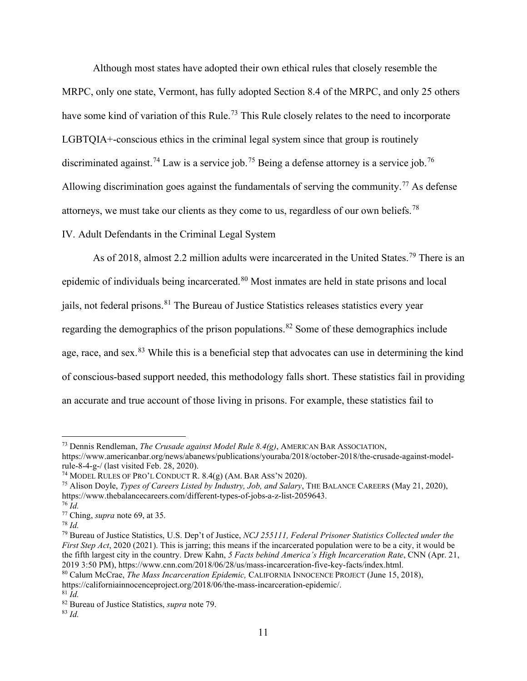Although most states have adopted their own ethical rules that closely resemble the MRPC, only one state, Vermont, has fully adopted Section 8.4 of the MRPC, and only 25 others have some kind of variation of this Rule.<sup>[73](#page-11-0)</sup> This Rule closely relates to the need to incorporate LGBTQIA+-conscious ethics in the criminal legal system since that group is routinely discriminated against.<sup>[74](#page-11-1)</sup> Law is a service job.<sup>[75](#page-11-2)</sup> Being a defense attorney is a service job.<sup>[76](#page-11-3)</sup> Allowing discrimination goes against the fundamentals of serving the community.<sup>[77](#page-11-4)</sup> As defense attorneys, we must take our clients as they come to us, regardless of our own beliefs.<sup>[78](#page-11-5)</sup> IV. Adult Defendants in the Criminal Legal System

As of 2018, almost 2.2 million adults were incarcerated in the United States.<sup>[79](#page-11-6)</sup> There is an epidemic of individuals being incarcerated.<sup>[80](#page-11-7)</sup> Most inmates are held in state prisons and local jails, not federal prisons.<sup>[81](#page-11-8)</sup> The Bureau of Justice Statistics releases statistics every year regarding the demographics of the prison populations.<sup>[82](#page-11-9)</sup> Some of these demographics include age, race, and sex.<sup>[83](#page-11-10)</sup> While this is a beneficial step that advocates can use in determining the kind of conscious-based support needed, this methodology falls short. These statistics fail in providing an accurate and true account of those living in prisons. For example, these statistics fail to

<span id="page-11-0"></span><sup>73</sup> Dennis Rendleman, *The Crusade against Model Rule 8.4(g)*, AMERICAN BAR ASSOCIATION,

https://www.americanbar.org/news/abanews/publications/youraba/2018/october-2018/the-crusade-against-model-<br>rule-8-4-g-/ (last visited Feb. 28, 2020).

<span id="page-11-1"></span><sup>&</sup>lt;sup>74</sup> MODEL RULES OF PRO'L CONDUCT R.  $8.4(g)$  (AM. BAR ASS'N 2020).

<span id="page-11-2"></span><sup>75</sup> Alison Doyle, *Types of Careers Listed by Industry, Job, and Salary*, THE BALANCE CAREERS (May 21, 2020), https://www.thebalancecareers.com/different-types-of-jobs-a-z-list-2059643.

<span id="page-11-3"></span><sup>76</sup> *Id.* 

<span id="page-11-4"></span><sup>77</sup> Ching, *supra* note 69, at 35. 78 *Id.* 

<span id="page-11-5"></span>

<span id="page-11-6"></span><sup>79</sup> Bureau of Justice Statistics, U.S. Dep't of Justice, *NCJ 255111, Federal Prisoner Statistics Collected under the First Step Act*, 2020 (2021). This is jarring; this means if the incarcerated population were to be a city, it would be the fifth largest city in the country. Drew Kahn, 5 Facts behind America's High Incarceration Rate, CNN (Apr. 21,<br>2019 3:50 PM), https://www.cnn.com/2018/06/28/us/mass-incarceration-five-key-facts/index.html.

<span id="page-11-7"></span><sup>&</sup>lt;sup>80</sup> Calum McCrae, *The Mass Incarceration Epidemic*, CALIFORNIA INNOCENCE PROJECT (June 15, 2018), https://californiainnocenceproject.org/2018/06/the-mass-incarceration-epidemic/.

<span id="page-11-9"></span><span id="page-11-8"></span><sup>81</sup> *Id.* 

<sup>82</sup> Bureau of Justice Statistics, *supra* note 79.

<span id="page-11-10"></span><sup>83</sup> *Id.*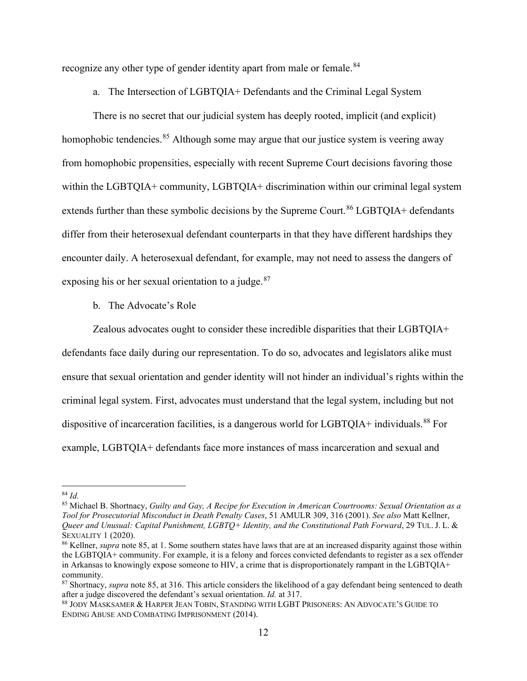recognize any other type of gender identity apart from male or female.<sup>[84](#page-12-0)</sup>

a. The Intersection of LGBTQIA+ Defendants and the Criminal Legal System

There is no secret that our judicial system has deeply rooted, implicit (and explicit) homophobic tendencies.<sup>[85](#page-12-1)</sup> Although some may argue that our justice system is veering away from homophobic propensities, especially with recent Supreme Court decisions favoring those within the LGBTQIA+ community, LGBTQIA+ discrimination within our criminal legal system extends further than these symbolic decisions by the Supreme Court.<sup>[86](#page-12-2)</sup> LGBTQIA+ defendants differ from their heterosexual defendant counterparts in that they have different hardships they encounter daily. A heterosexual defendant, for example, may not need to assess the dangers of exposing his or her sexual orientation to a judge. $87$ 

b. The Advocate's Role

Zealous advocates ought to consider these incredible disparities that their LGBTQIA+

defendants face daily during our representation. To do so, advocates and legislators alike must ensure that sexual orientation and gender identity will not hinder an individual's rights within the criminal legal system. First, advocates must understand that the legal system, including but not dispositive of incarceration facilities, is a dangerous world for LGBTQIA+ individuals.<sup>[88](#page-12-4)</sup> For example, LGBTQIA+ defendants face more instances of mass incarceration and sexual and

<span id="page-12-0"></span><sup>84</sup> *Id.* 

<span id="page-12-1"></span><sup>85</sup> Michael B. Shortnacy, *Guilty and Gay, A Recipe for Execution in American Courtrooms: Sexual Orientation as a Tool for Prosecutorial Misconduct in Death Penalty Cases*, 51 AMULR 309, 316 (2001). *See also* Matt Kellner, *Queer and Unusual: Capital Punishment, LGBTQ+ Identity, and the Constitutional Path Forward*, 29 TUL. J. L. &

<span id="page-12-2"></span><sup>&</sup>lt;sup>86</sup> Kellner, *supra* note 85, at 1. Some southern states have laws that are at an increased disparity against those within the LGBTQIA+ community. For example, it is a felony and forces convicted defendants to register as a sex offender in Arkansas to knowingly expose someone to HIV, a crime that is disproportionately rampant in the LGBTQIA+ community.

<span id="page-12-3"></span><sup>87</sup> Shortnacy, *supra* note 85, at 316. This article considers the likelihood of a gay defendant being sentenced to death after a judge discovered the defendant's sexual orientation. *Id.* at 317.<br><sup>88</sup> JODY MASKSAMER & HARPER JEAN TOBIN, STANDING WITH LGBT PRISONERS: AN ADVOCATE'S GUIDE TO

<span id="page-12-4"></span>ENDING ABUSE AND COMBATING IMPRISONMENT (2014).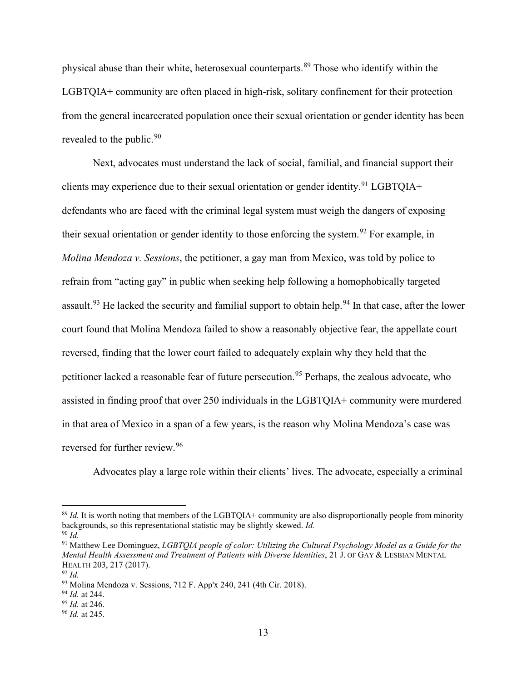physical abuse than their white, heterosexual counterparts.[89](#page-13-0) Those who identify within the LGBTQIA+ community are often placed in high-risk, solitary confinement for their protection from the general incarcerated population once their sexual orientation or gender identity has been revealed to the public.<sup>[90](#page-13-1)</sup>

Next, advocates must understand the lack of social, familial, and financial support their clients may experience due to their sexual orientation or gender identity.<sup>[91](#page-13-2)</sup> LGBTQIA+ defendants who are faced with the criminal legal system must weigh the dangers of exposing their sexual orientation or gender identity to those enforcing the system.<sup>[92](#page-13-3)</sup> For example, in *Molina Mendoza v. Sessions*, the petitioner, a gay man from Mexico, was told by police to refrain from "acting gay" in public when seeking help following a homophobically targeted assault.<sup>[93](#page-13-4)</sup> He lacked the security and familial support to obtain help.<sup>[94](#page-13-5)</sup> In that case, after the lower court found that Molina Mendoza failed to show a reasonably objective fear, the appellate court reversed, finding that the lower court failed to adequately explain why they held that the petitioner lacked a reasonable fear of future persecution.<sup>[95](#page-13-6)</sup> Perhaps, the zealous advocate, who assisted in finding proof that over 250 individuals in the LGBTQIA+ community were murdered in that area of Mexico in a span of a few years, is the reason why Molina Mendoza's case was reversed for further review.[96](#page-13-7)

Advocates play a large role within their clients' lives. The advocate, especially a criminal

<span id="page-13-0"></span><sup>&</sup>lt;sup>89</sup> *Id.* It is worth noting that members of the LGBTQIA+ community are also disproportionally people from minority backgrounds, so this representational statistic may be slightly skewed. *Id.* <sup>90</sup> *Id.* 

<span id="page-13-2"></span><span id="page-13-1"></span><sup>91</sup> Matthew Lee Dominguez, *LGBTQIA people of color: Utilizing the Cultural Psychology Model as a Guide for the Mental Health Assessment and Treatment of Patients with Diverse Identities*, 21 J. OF GAY & LESBIAN MENTAL HEALTH 203, 217 (2017). 92 *Id.* 

<span id="page-13-3"></span>

<span id="page-13-4"></span><sup>93</sup> Molina Mendoza v. Sessions, 712 F. App'x 240, 241 (4th Cir. 2018). 94 *Id.* at 244. 95 *Id.* at 246. 96 *Id.* at 245.

<span id="page-13-6"></span><span id="page-13-5"></span>

<span id="page-13-7"></span>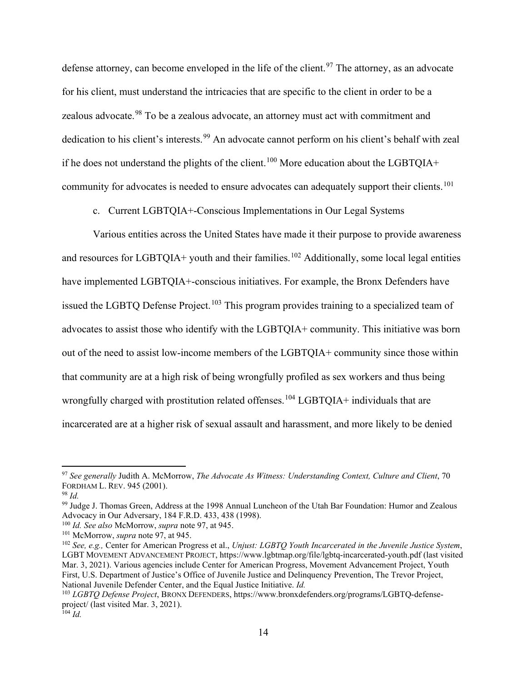defense attorney, can become enveloped in the life of the client.<sup>[97](#page-14-0)</sup> The attorney, as an advocate for his client, must understand the intricacies that are specific to the client in order to be a zealous advocate.<sup>[98](#page-14-1)</sup> To be a zealous advocate, an attorney must act with commitment and dedication to his client's interests.<sup>[99](#page-14-2)</sup> An advocate cannot perform on his client's behalf with zeal if he does not understand the plights of the client.<sup>[100](#page-14-3)</sup> More education about the LGBTQIA+ community for advocates is needed to ensure advocates can adequately support their clients.<sup>[101](#page-14-4)</sup>

c. Current LGBTQIA+-Conscious Implementations in Our Legal Systems

Various entities across the United States have made it their purpose to provide awareness and resources for LGBTQIA+ youth and their families.<sup>[102](#page-14-5)</sup> Additionally, some local legal entities have implemented LGBTQIA+-conscious initiatives. For example, the Bronx Defenders have issued the LGBTQ Defense Project.<sup>[103](#page-14-6)</sup> This program provides training to a specialized team of advocates to assist those who identify with the LGBTQIA+ community. This initiative was born out of the need to assist low-income members of the LGBTQIA+ community since those within that community are at a high risk of being wrongfully profiled as sex workers and thus being wrongfully charged with prostitution related offenses.<sup>[104](#page-14-7)</sup> LGBTQIA+ individuals that are incarcerated are at a higher risk of sexual assault and harassment, and more likely to be denied

<span id="page-14-0"></span><sup>97</sup> *See generally* Judith A. McMorrow, *The Advocate As Witness: Understanding Context, Culture and Client*, 70 FORDHAM L. REV. 945 (2001). 98 *Id.* 

<span id="page-14-2"></span><span id="page-14-1"></span><sup>99</sup> Judge J. Thomas Green, Address at the 1998 Annual Luncheon of the Utah Bar Foundation: Humor and Zealous Advocacy in Our Adversary, 184 F.R.D. 433, 438 (1998). 100 *Id. See also* McMorrow, *supra* note 97, at 945. 101 McMorrow, *supra* note 97, at 945.

<span id="page-14-3"></span>

<span id="page-14-5"></span><span id="page-14-4"></span><sup>102</sup> *See, e.g.,* Center for American Progress et al., *Unjust: LGBTQ Youth Incarcerated in the Juvenile Justice System*, LGBT MOVEMENT ADVANCEMENT PROJECT, https://www.lgbtmap.org/file/lgbtq-incarcerated-youth.pdf (last visited Mar. 3, 2021). Various agencies include Center for American Progress, Movement Advancement Project, Youth First, U.S. Department of Justice's Office of Juvenile Justice and Delinquency Prevention, The Trevor Project, National Juvenile Defender Center, and the Equal Justice Initiative. *Id.* 

<span id="page-14-7"></span><span id="page-14-6"></span><sup>103</sup> *LGBTQ Defense Project*, BRONX DEFENDERS, https://www.bronxdefenders.org/programs/LGBTQ-defenseproject/ (last visited Mar. 3, 2021). <sup>104</sup> *Id.*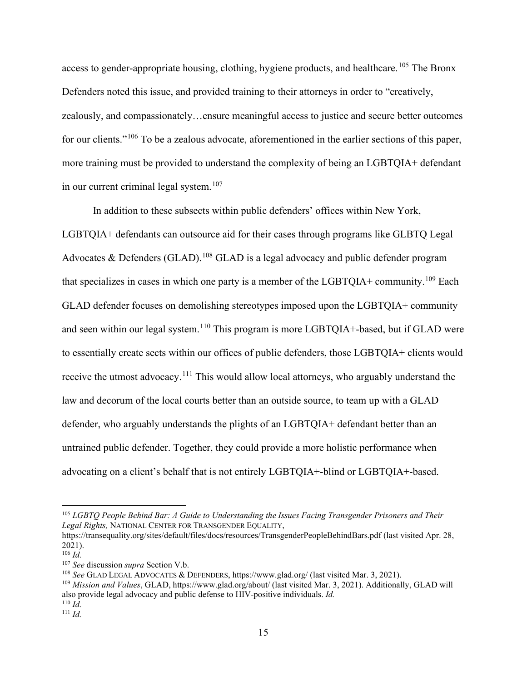access to gender-appropriate housing, clothing, hygiene products, and healthcare.<sup>[105](#page-15-0)</sup> The Bronx Defenders noted this issue, and provided training to their attorneys in order to "creatively, zealously, and compassionately…ensure meaningful access to justice and secure better outcomes for our clients."<sup>[106](#page-15-1)</sup> To be a zealous advocate, aforementioned in the earlier sections of this paper, more training must be provided to understand the complexity of being an LGBTQIA+ defendant in our current criminal legal system.<sup>[107](#page-15-2)</sup>

In addition to these subsects within public defenders' offices within New York, LGBTQIA+ defendants can outsource aid for their cases through programs like GLBTQ Legal Advocates & Defenders (GLAD).<sup>[108](#page-15-3)</sup> GLAD is a legal advocacy and public defender program that specializes in cases in which one party is a member of the LGBTQIA+ community.<sup>[109](#page-15-4)</sup> Each GLAD defender focuses on demolishing stereotypes imposed upon the LGBTQIA+ community and seen within our legal system.<sup>[110](#page-15-5)</sup> This program is more LGBTQIA+-based, but if GLAD were to essentially create sects within our offices of public defenders, those LGBTQIA+ clients would receive the utmost advocacy.<sup>[111](#page-15-6)</sup> This would allow local attorneys, who arguably understand the law and decorum of the local courts better than an outside source, to team up with a GLAD defender, who arguably understands the plights of an LGBTQIA+ defendant better than an untrained public defender. Together, they could provide a more holistic performance when advocating on a client's behalf that is not entirely LGBTQIA+-blind or LGBTQIA+-based.

<span id="page-15-0"></span><sup>105</sup> *LGBTQ People Behind Bar: A Guide to Understanding the Issues Facing Transgender Prisoners and Their Legal Rights,* NATIONAL CENTER FOR TRANSGENDER EQUALITY,

https://transequality.org/sites/default/files/docs/resources/TransgenderPeopleBehindBars.pdf (last visited Apr. 28, 2021).

<span id="page-15-2"></span><span id="page-15-1"></span><sup>&</sup>lt;sup>106</sup> *Id.*<br><sup>107</sup> See discussion *supra* Section V.b.

<span id="page-15-3"></span><sup>&</sup>lt;sup>108</sup> See GLAD LEGAL ADVOCATES & DEFENDERS, https://www.glad.org/ (last visited Mar. 3, 2021).<br><sup>109</sup> Mission and Values, GLAD, https://www.glad.org/about/ (last visited Mar. 3, 2021). Additionally, GLAD will

<span id="page-15-4"></span>also provide legal advocacy and public defense to HIV-positive individuals. *Id.* 

<span id="page-15-5"></span> $110 \bar{Id}$ 

<span id="page-15-6"></span> $111$  *Id.*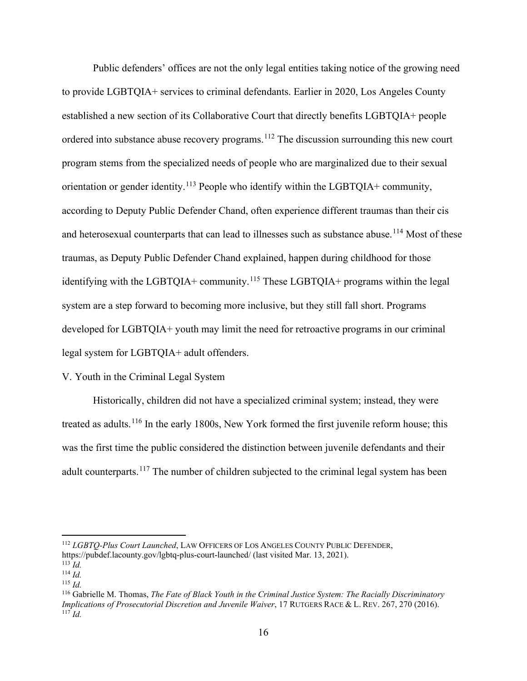Public defenders' offices are not the only legal entities taking notice of the growing need to provide LGBTQIA+ services to criminal defendants. Earlier in 2020, Los Angeles County established a new section of its Collaborative Court that directly benefits LGBTQIA+ people ordered into substance abuse recovery programs.<sup>[112](#page-16-0)</sup> The discussion surrounding this new court program stems from the specialized needs of people who are marginalized due to their sexual orientation or gender identity.<sup>[113](#page-16-1)</sup> People who identify within the LGBTQIA+ community, according to Deputy Public Defender Chand, often experience different traumas than their cis and heterosexual counterparts that can lead to illnesses such as substance abuse.<sup>[114](#page-16-2)</sup> Most of these traumas, as Deputy Public Defender Chand explained, happen during childhood for those identifying with the LGBTQIA+ community.<sup>[115](#page-16-3)</sup> These LGBTQIA+ programs within the legal system are a step forward to becoming more inclusive, but they still fall short. Programs developed for LGBTQIA+ youth may limit the need for retroactive programs in our criminal legal system for LGBTQIA+ adult offenders.

### V. Youth in the Criminal Legal System

Historically, children did not have a specialized criminal system; instead, they were treated as adults.<sup>[116](#page-16-4)</sup> In the early 1800s, New York formed the first juvenile reform house; this was the first time the public considered the distinction between juvenile defendants and their adult counterparts.<sup>[117](#page-16-5)</sup> The number of children subjected to the criminal legal system has been

<span id="page-16-0"></span><sup>112</sup> *LGBTQ-Plus Court Launched*, LAW OFFICERS OF LOS ANGELES COUNTY PUBLIC DEFENDER, https://pubdef.lacounty.gov/lgbtq-plus-court-launched/ (last visited Mar. 13, 2021). 113 *Id.*

<span id="page-16-1"></span>

<span id="page-16-2"></span> $114$  *Id.*  $^{115}$  *Id.* 

<span id="page-16-3"></span>

<span id="page-16-5"></span><span id="page-16-4"></span><sup>116</sup> Gabrielle M. Thomas, *The Fate of Black Youth in the Criminal Justice System: The Racially Discriminatory Implications of Prosecutorial Discretion and Juvenile Waiver*, 17 RUTGERS RACE & L. REV. 267, 270 (2016).  $^{117}$ *Id.*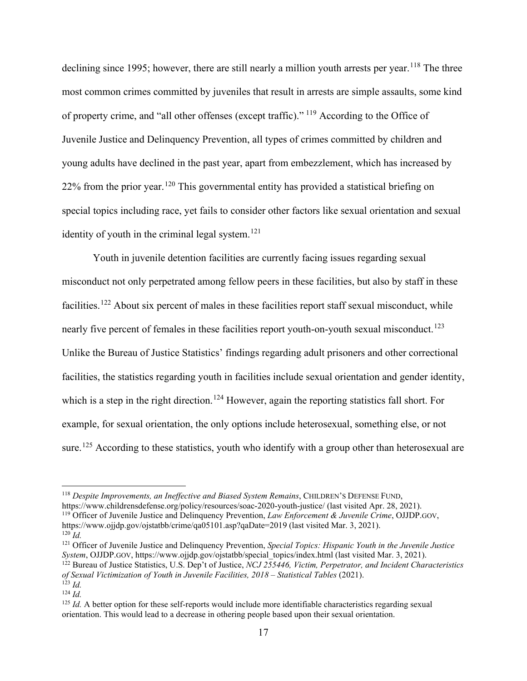declining since 1995; however, there are still nearly a million youth arrests per year.<sup>[118](#page-17-0)</sup> The three most common crimes committed by juveniles that result in arrests are simple assaults, some kind of property crime, and "all other offenses (except traffic)." [119](#page-17-1) According to the Office of Juvenile Justice and Delinquency Prevention, all types of crimes committed by children and young adults have declined in the past year, apart from embezzlement, which has increased by  $22\%$  from the prior year.<sup>[120](#page-17-2)</sup> This governmental entity has provided a statistical briefing on special topics including race, yet fails to consider other factors like sexual orientation and sexual identity of youth in the criminal legal system. $121$ 

Youth in juvenile detention facilities are currently facing issues regarding sexual misconduct not only perpetrated among fellow peers in these facilities, but also by staff in these facilities.<sup>[122](#page-17-4)</sup> About six percent of males in these facilities report staff sexual misconduct, while nearly five percent of females in these facilities report youth-on-youth sexual misconduct.<sup>[123](#page-17-5)</sup> Unlike the Bureau of Justice Statistics' findings regarding adult prisoners and other correctional facilities, the statistics regarding youth in facilities include sexual orientation and gender identity, which is a step in the right direction.<sup>[124](#page-17-6)</sup> However, again the reporting statistics fall short. For example, for sexual orientation, the only options include heterosexual, something else, or not sure.<sup>[125](#page-17-7)</sup> According to these statistics, youth who identify with a group other than heterosexual are

<span id="page-17-0"></span><sup>118</sup> *Despite Improvements, an Ineffective and Biased System Remains*, CHILDREN'S DEFENSE FUND,<br>https://www.childrensdefense.org/policy/resources/soac-2020-youth-justice/ (last visited Apr. 28, 2021).

<span id="page-17-1"></span><sup>119</sup> Officer of Juvenile Justice and Delinquency Prevention, *Law Enforcement & Juvenile Crime*, OJJDP.GOV,

<span id="page-17-2"></span>https://www.ojjdp.gov/ojstatbb/crime/qa05101.asp?qaDate=2019 (last visited Mar. 3, 2021).  $^{120}$  *Id.* 

<span id="page-17-3"></span><sup>121</sup> Officer of Juvenile Justice and Delinquency Prevention, *Special Topics: Hispanic Youth in the Juvenile Justice System*, OJJDP.GOV, https://www.ojjdp.gov/ojstatbb/special\_topics/index.html (last visited Mar. 3, 2021).

<span id="page-17-4"></span><sup>122</sup> Bureau of Justice Statistics, U.S. Dep't of Justice, *NCJ 255446, Victim, Perpetrator, and Incident Characteristics of Sexual Victimization of Youth in Juvenile Facilities, 2018 – Statistical Tables* (2021).  $123$  *Id.* 

<span id="page-17-7"></span><sup>125</sup> *Id.* A better option for these self-reports would include more identifiable characteristics regarding sexual orientation. This would lead to a decrease in othering people based upon their sexual orientation.

<span id="page-17-6"></span><span id="page-17-5"></span> $124$  *Id*.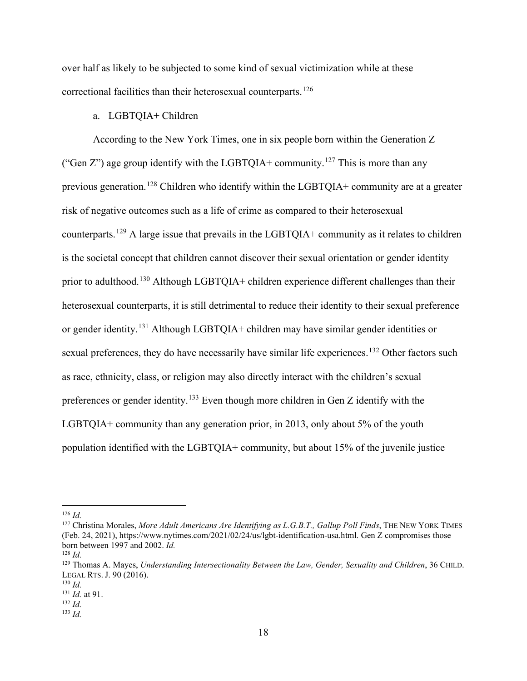over half as likely to be subjected to some kind of sexual victimization while at these correctional facilities than their heterosexual counterparts.<sup>[126](#page-18-0)</sup>

# a. LGBTQIA+ Children

According to the New York Times, one in six people born within the Generation Z ("Gen Z") age group identify with the LGBTQIA+ community.<sup>[127](#page-18-1)</sup> This is more than any previous generation.[128](#page-18-2) Children who identify within the LGBTQIA+ community are at a greater risk of negative outcomes such as a life of crime as compared to their heterosexual counterparts.<sup>[129](#page-18-3)</sup> A large issue that prevails in the LGBTQIA+ community as it relates to children is the societal concept that children cannot discover their sexual orientation or gender identity prior to adulthood.[130](#page-18-4) Although LGBTQIA+ children experience different challenges than their heterosexual counterparts, it is still detrimental to reduce their identity to their sexual preference or gender identity.<sup>[131](#page-18-5)</sup> Although LGBTQIA+ children may have similar gender identities or sexual preferences, they do have necessarily have similar life experiences.<sup>[132](#page-18-6)</sup> Other factors such as race, ethnicity, class, or religion may also directly interact with the children's sexual preferences or gender identity.[133](#page-18-7) Even though more children in Gen Z identify with the LGBTQIA+ community than any generation prior, in 2013, only about 5% of the youth population identified with the LGBTQIA+ community, but about 15% of the juvenile justice

<span id="page-18-0"></span> $126$  *Id.* 

<span id="page-18-1"></span><sup>127</sup> Christina Morales, *More Adult Americans Are Identifying as L.G.B.T., Gallup Poll Finds*, THE NEW YORK TIMES (Feb. 24, 2021), https://www.nytimes.com/2021/02/24/us/lgbt-identification-usa.html. Gen Z compromises those born between 1997 and 2002. *Id.* 

<span id="page-18-2"></span><sup>128</sup> *Id.*

<span id="page-18-3"></span><sup>129</sup> Thomas A. Mayes, *Understanding Intersectionality Between the Law, Gender, Sexuality and Children*, 36 CHILD. LEGAL RTS. J. 90 (2016).

<span id="page-18-4"></span><sup>130</sup> *Id.*

<span id="page-18-5"></span><sup>131</sup> *Id.* at 91. 132 *Id.* 

<span id="page-18-6"></span>

<span id="page-18-7"></span> $133$  *Id.*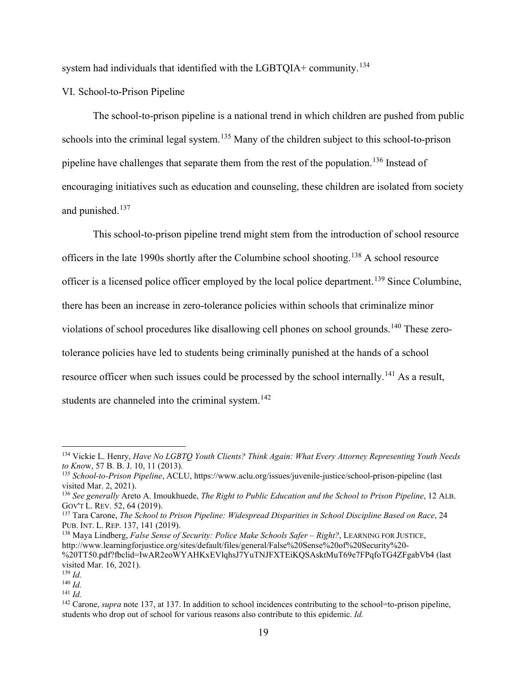system had individuals that identified with the LGBTQIA+ community.<sup>[134](#page-19-0)</sup>

VI. School-to-Prison Pipeline

The school-to-prison pipeline is a national trend in which children are pushed from public schools into the criminal legal system.<sup>[135](#page-19-1)</sup> Many of the children subject to this school-to-prison pipeline have challenges that separate them from the rest of the population.[136](#page-19-2) Instead of encouraging initiatives such as education and counseling, these children are isolated from society and punished.<sup>[137](#page-19-3)</sup>

This school-to-prison pipeline trend might stem from the introduction of school resource officers in the late 1990s shortly after the Columbine school shooting.<sup>[138](#page-19-4)</sup> A school resource officer is a licensed police officer employed by the local police department.[139](#page-19-5) Since Columbine, there has been an increase in zero-tolerance policies within schools that criminalize minor violations of school procedures like disallowing cell phones on school grounds.<sup>[140](#page-19-6)</sup> These zerotolerance policies have led to students being criminally punished at the hands of a school resource officer when such issues could be processed by the school internally.<sup>[141](#page-19-7)</sup> As a result, students are channeled into the criminal system.<sup>[142](#page-19-8)</sup>

<span id="page-19-0"></span><sup>134</sup> Vickie L. Henry, *Have No LGBTQ Youth Clients? Think Again: What Every Attorney Representing Youth Needs* 

<span id="page-19-1"></span>*to Know*, 57 B. B. J. 10, 11 (2013).<br><sup>135</sup> *School-to-Prison Pipeline*, ACLU, https://www.aclu.org/issues/juvenile-justice/school-prison-pipeline (last visited Mar. 2, 2021).

<span id="page-19-2"></span><sup>&</sup>lt;sup>136</sup> See generally Areto A. Imoukhuede, *The Right to Public Education and the School to Prison Pipeline*, 12 ALB. GOV'T L. REV. 52, 64 (2019).

<span id="page-19-3"></span><sup>137</sup> Tara Carone, *The School to Prison Pipeline: Widespread Disparities in School Discipline Based on Race*, 24 PUB. INT. L. REP. 137, 141 (2019).

<span id="page-19-4"></span><sup>138</sup> Maya Lindberg, *False Sense of Security: Police Make Schools Safer – Right?*, LEARNING FOR JUSTICE, http://www.learningforjustice.org/sites/default/files/general/False%20Sense%20of%20Security%20- %20TT50.pdf?fbclid=IwAR2eoWYAHKxEVlqhsJ7YuTNJFXTEiKQSAsktMuT69e7FPqfoTG4ZFgabVb4 (last visited Mar. 16, 2021).

<span id="page-19-5"></span> $139$  *Id.* 

<span id="page-19-6"></span><sup>140</sup> *Id.* 

<span id="page-19-7"></span> $141$  *Id.* 

<span id="page-19-8"></span><sup>&</sup>lt;sup>142</sup> Carone, *supra* note 137, at 137. In addition to school incidences contributing to the school=to-prison pipeline, students who drop out of school for various reasons also contribute to this epidemic. *Id.*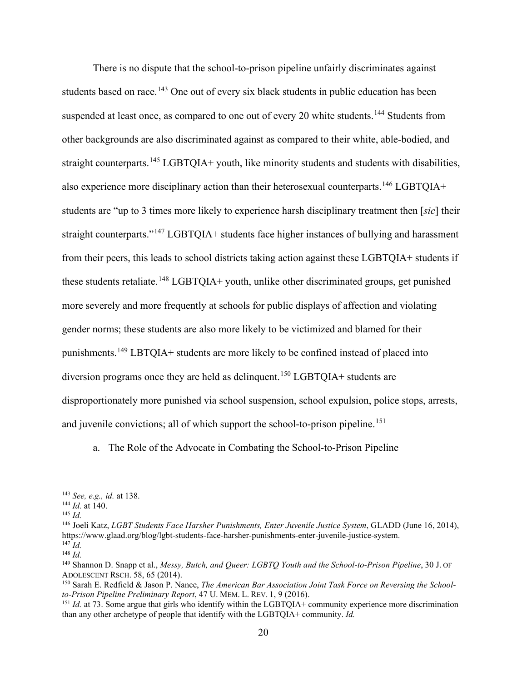There is no dispute that the school-to-prison pipeline unfairly discriminates against students based on race.<sup>[143](#page-20-0)</sup> One out of every six black students in public education has been suspended at least once, as compared to one out of every 20 white students.<sup>[144](#page-20-1)</sup> Students from other backgrounds are also discriminated against as compared to their white, able-bodied, and straight counterparts.<sup>[145](#page-20-2)</sup> LGBTQIA+ youth, like minority students and students with disabilities, also experience more disciplinary action than their heterosexual counterparts.<sup>[146](#page-20-3)</sup> LGBTQIA+ students are "up to 3 times more likely to experience harsh disciplinary treatment then [*sic*] their straight counterparts."<sup>[147](#page-20-4)</sup> LGBTQIA+ students face higher instances of bullying and harassment from their peers, this leads to school districts taking action against these LGBTQIA+ students if these students retaliate.<sup>[148](#page-20-5)</sup> LGBTQIA+ youth, unlike other discriminated groups, get punished more severely and more frequently at schools for public displays of affection and violating gender norms; these students are also more likely to be victimized and blamed for their punishments.<sup>[149](#page-20-6)</sup> LBTQIA+ students are more likely to be confined instead of placed into diversion programs once they are held as delinquent.<sup>[150](#page-20-7)</sup> LGBTQIA+ students are disproportionately more punished via school suspension, school expulsion, police stops, arrests, and juvenile convictions; all of which support the school-to-prison pipeline.<sup>[151](#page-20-8)</sup>

a. The Role of the Advocate in Combating the School-to-Prison Pipeline

<span id="page-20-0"></span><sup>143</sup> *See, e.g., id.* at 138.

<span id="page-20-2"></span><span id="page-20-1"></span><sup>144</sup> *Id.* at 140. 145 *Id.* 

<span id="page-20-3"></span><sup>146</sup> Joeli Katz, *LGBT Students Face Harsher Punishments, Enter Juvenile Justice System*, GLADD (June 16, 2014), https://www.glaad.org/blog/lgbt-students-face-harsher-punishments-enter-juvenile-justice-system.  $^{147}$  *Id.* 

<span id="page-20-5"></span><span id="page-20-4"></span> $^{148}$  *Id.* 

<span id="page-20-6"></span><sup>149</sup> Shannon D. Snapp et al., *Messy, Butch, and Queer: LGBTQ Youth and the School-to-Prison Pipeline*, 30 J. OF

<span id="page-20-7"></span>ADOLESCENT RSCH. 58, 65 (2014).<br><sup>150</sup> Sarah E. Redfield & Jason P. Nance, *The American Bar Association Joint Task Force on Reversing the School-*<br>*to-Prison Pipeline Preliminary Report*, 47 U. MEM. L. REV. 1, 9 (2016).

<span id="page-20-8"></span><sup>&</sup>lt;sup>151</sup> *Id.* at 73. Some argue that girls who identify within the LGBTQIA+ community experience more discrimination than any other archetype of people that identify with the LGBTQIA+ community. *Id.*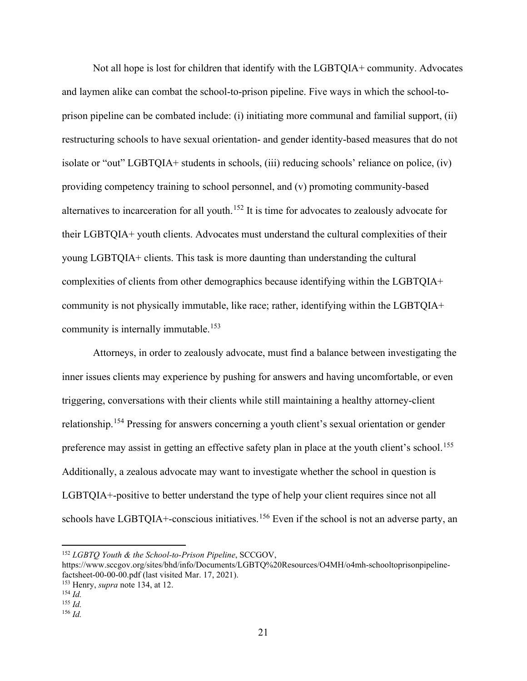Not all hope is lost for children that identify with the LGBTQIA+ community. Advocates and laymen alike can combat the school-to-prison pipeline. Five ways in which the school-toprison pipeline can be combated include: (i) initiating more communal and familial support, (ii) restructuring schools to have sexual orientation- and gender identity-based measures that do not isolate or "out" LGBTQIA+ students in schools, (iii) reducing schools' reliance on police, (iv) providing competency training to school personnel, and (v) promoting community-based alternatives to incarceration for all youth.<sup>[152](#page-21-0)</sup> It is time for advocates to zealously advocate for their LGBTQIA+ youth clients. Advocates must understand the cultural complexities of their young LGBTQIA+ clients. This task is more daunting than understanding the cultural complexities of clients from other demographics because identifying within the LGBTQIA+ community is not physically immutable, like race; rather, identifying within the LGBTQIA+ community is internally immutable.<sup>[153](#page-21-1)</sup>

Attorneys, in order to zealously advocate, must find a balance between investigating the inner issues clients may experience by pushing for answers and having uncomfortable, or even triggering, conversations with their clients while still maintaining a healthy attorney-client relationship.[154](#page-21-2) Pressing for answers concerning a youth client's sexual orientation or gender preference may assist in getting an effective safety plan in place at the youth client's school.<sup>[155](#page-21-3)</sup> Additionally, a zealous advocate may want to investigate whether the school in question is LGBTQIA+-positive to better understand the type of help your client requires since not all schools have LGBTQIA+-conscious initiatives.<sup>[156](#page-21-4)</sup> Even if the school is not an adverse party, an

<span id="page-21-0"></span><sup>152</sup> *LGBTQ Youth & the School-to-Prison Pipeline*, SCCGOV,

https://www.sccgov.org/sites/bhd/info/Documents/LGBTQ%20Resources/O4MH/o4mh-schooltoprisonpipelinefactsheet-00-00-00.pdf (last visited Mar. 17, 2021). 153 Henry, *supra* note 134, at 12. 154 *Id.* 

<span id="page-21-3"></span><span id="page-21-2"></span><span id="page-21-1"></span>

 $155$  *Id.* 

<span id="page-21-4"></span> $156$  *Id.*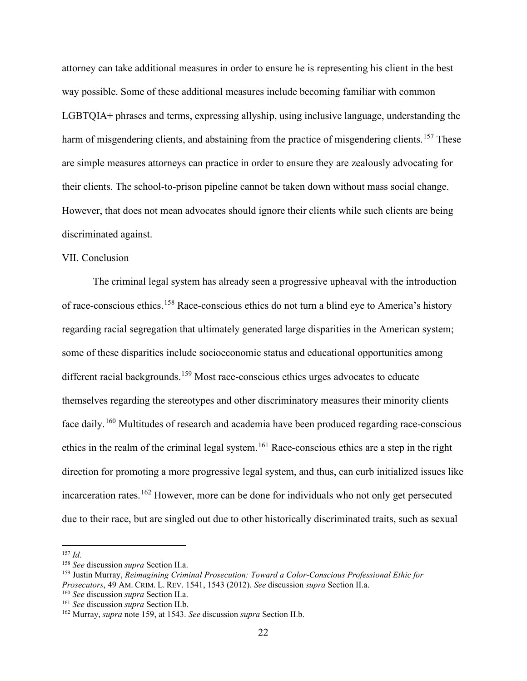attorney can take additional measures in order to ensure he is representing his client in the best way possible. Some of these additional measures include becoming familiar with common LGBTQIA+ phrases and terms, expressing allyship, using inclusive language, understanding the harm of misgendering clients, and abstaining from the practice of misgendering clients.<sup>[157](#page-22-0)</sup> These are simple measures attorneys can practice in order to ensure they are zealously advocating for their clients. The school-to-prison pipeline cannot be taken down without mass social change. However, that does not mean advocates should ignore their clients while such clients are being discriminated against.

### VII. Conclusion

The criminal legal system has already seen a progressive upheaval with the introduction of race-conscious ethics.[158](#page-22-1) Race-conscious ethics do not turn a blind eye to America's history regarding racial segregation that ultimately generated large disparities in the American system; some of these disparities include socioeconomic status and educational opportunities among different racial backgrounds.<sup>[159](#page-22-2)</sup> Most race-conscious ethics urges advocates to educate themselves regarding the stereotypes and other discriminatory measures their minority clients face daily.<sup>[160](#page-22-3)</sup> Multitudes of research and academia have been produced regarding race-conscious ethics in the realm of the criminal legal system.<sup>[161](#page-22-4)</sup> Race-conscious ethics are a step in the right direction for promoting a more progressive legal system, and thus, can curb initialized issues like incarceration rates.<sup>[162](#page-22-5)</sup> However, more can be done for individuals who not only get persecuted due to their race, but are singled out due to other historically discriminated traits, such as sexual

<span id="page-22-0"></span> $157$  *Id.* 

<span id="page-22-1"></span><sup>158</sup> *See* discussion *supra* Section II.a.

<span id="page-22-2"></span><sup>159</sup> Justin Murray, *Reimagining Criminal Prosecution: Toward a Color-Conscious Professional Ethic for Prosecutors*, 49 AM. CRIM. L. REV. 1541, 1543 (2012). *See* discussion *supra* Section II.a.

<span id="page-22-4"></span><span id="page-22-3"></span><sup>160</sup> *See* discussion *supra* Section II.a.

<span id="page-22-5"></span><sup>161</sup> *See* discussion *supra* Section II.b. 162 Murray, *supra* note 159, at 1543. *See* discussion *supra* Section II.b.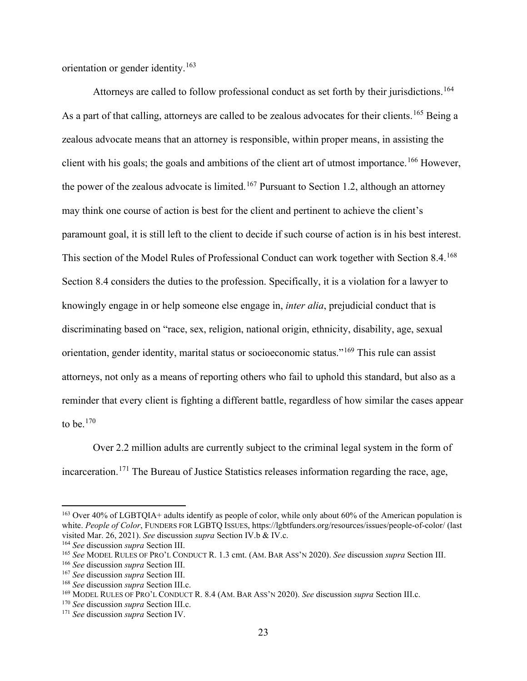orientation or gender identity.[163](#page-23-0)

Attorneys are called to follow professional conduct as set forth by their jurisdictions.<sup>[164](#page-23-1)</sup> As a part of that calling, attorneys are called to be zealous advocates for their clients.<sup>[165](#page-23-2)</sup> Being a zealous advocate means that an attorney is responsible, within proper means, in assisting the client with his goals; the goals and ambitions of the client art of utmost importance.<sup>[166](#page-23-3)</sup> However, the power of the zealous advocate is limited.<sup>[167](#page-23-4)</sup> Pursuant to Section 1.2, although an attorney may think one course of action is best for the client and pertinent to achieve the client's paramount goal, it is still left to the client to decide if such course of action is in his best interest. This section of the Model Rules of Professional Conduct can work together with Section 8.4.<sup>[168](#page-23-5)</sup> Section 8.4 considers the duties to the profession. Specifically, it is a violation for a lawyer to knowingly engage in or help someone else engage in, *inter alia*, prejudicial conduct that is discriminating based on "race, sex, religion, national origin, ethnicity, disability, age, sexual orientation, gender identity, marital status or socioeconomic status."[169](#page-23-6) This rule can assist attorneys, not only as a means of reporting others who fail to uphold this standard, but also as a reminder that every client is fighting a different battle, regardless of how similar the cases appear to be. $170$ 

Over 2.2 million adults are currently subject to the criminal legal system in the form of incarceration.<sup>[171](#page-23-8)</sup> The Bureau of Justice Statistics releases information regarding the race, age,

<span id="page-23-0"></span><sup>&</sup>lt;sup>163</sup> Over 40% of LGBTQIA+ adults identify as people of color, while only about 60% of the American population is white. People of Color, FUNDERS FOR LGBTQ ISSUES, https://lgbtfunders.org/resources/issues/people-of-color/ (last visited Mar. 26, 2021). *See* discussion *supra* Section IV.b & IV.c.

<span id="page-23-2"></span><span id="page-23-1"></span><sup>&</sup>lt;sup>164</sup> See discussion *supra* Section III.<br><sup>165</sup> See MODEL RULES OF PRO'L CONDUCT R. 1.3 cmt. (AM. BAR ASS'N 2020). See discussion *supra* Section III.

<span id="page-23-6"></span><span id="page-23-5"></span>

<span id="page-23-4"></span><span id="page-23-3"></span><sup>&</sup>lt;sup>166</sup> See discussion *supra* Section III.<br><sup>167</sup> See discussion *supra* Section III.<br><sup>168</sup> See discussion *supra* Section III.c.<br><sup>169</sup> MODEL RULES OF PRO'L CONDUCT R. 8.4 (AM. BAR ASS'N 2020). See discussion *supra* Section

<span id="page-23-8"></span><span id="page-23-7"></span><sup>171</sup> *See* discussion *supra* Section IV.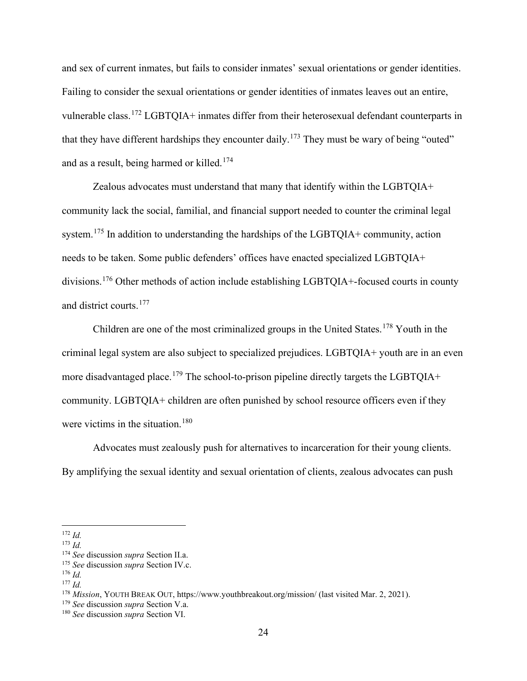and sex of current inmates, but fails to consider inmates' sexual orientations or gender identities. Failing to consider the sexual orientations or gender identities of inmates leaves out an entire, vulnerable class.<sup>[172](#page-24-0)</sup> LGBTQIA+ inmates differ from their heterosexual defendant counterparts in that they have different hardships they encounter daily.<sup>[173](#page-24-1)</sup> They must be wary of being "outed" and as a result, being harmed or killed.<sup>[174](#page-24-2)</sup>

Zealous advocates must understand that many that identify within the LGBTQIA+ community lack the social, familial, and financial support needed to counter the criminal legal system.<sup>[175](#page-24-3)</sup> In addition to understanding the hardships of the LGBTQIA+ community, action needs to be taken. Some public defenders' offices have enacted specialized LGBTQIA+ divisions.<sup>[176](#page-24-4)</sup> Other methods of action include establishing LGBTQIA+-focused courts in county and district courts.<sup>[177](#page-24-5)</sup>

Children are one of the most criminalized groups in the United States.<sup>[178](#page-24-6)</sup> Youth in the criminal legal system are also subject to specialized prejudices. LGBTQIA+ youth are in an even more disadvantaged place.<sup>[179](#page-24-7)</sup> The school-to-prison pipeline directly targets the LGBTQIA+ community. LGBTQIA+ children are often punished by school resource officers even if they were victims in the situation.<sup>[180](#page-24-8)</sup>

Advocates must zealously push for alternatives to incarceration for their young clients. By amplifying the sexual identity and sexual orientation of clients, zealous advocates can push

<span id="page-24-0"></span><sup>172</sup> *Id.* 

<span id="page-24-1"></span> $173$  *Id.* 

<span id="page-24-2"></span><sup>174</sup> *See* discussion *supra* Section II.a.

<span id="page-24-3"></span><sup>175</sup> *See* discussion *supra* Section IV.c. 176 *Id.* 

<span id="page-24-5"></span><span id="page-24-4"></span><sup>177</sup> *Id.* 

<span id="page-24-7"></span><span id="page-24-6"></span><sup>&</sup>lt;sup>178</sup> *Mission*, YOUTH BREAK OUT, https://www.youthbreakout.org/mission/ (last visited Mar. 2, 2021).<br><sup>179</sup> *See* discussion *supra* Section V.a.

<span id="page-24-8"></span><sup>&</sup>lt;sup>180</sup> *See* discussion *supra* Section VI.